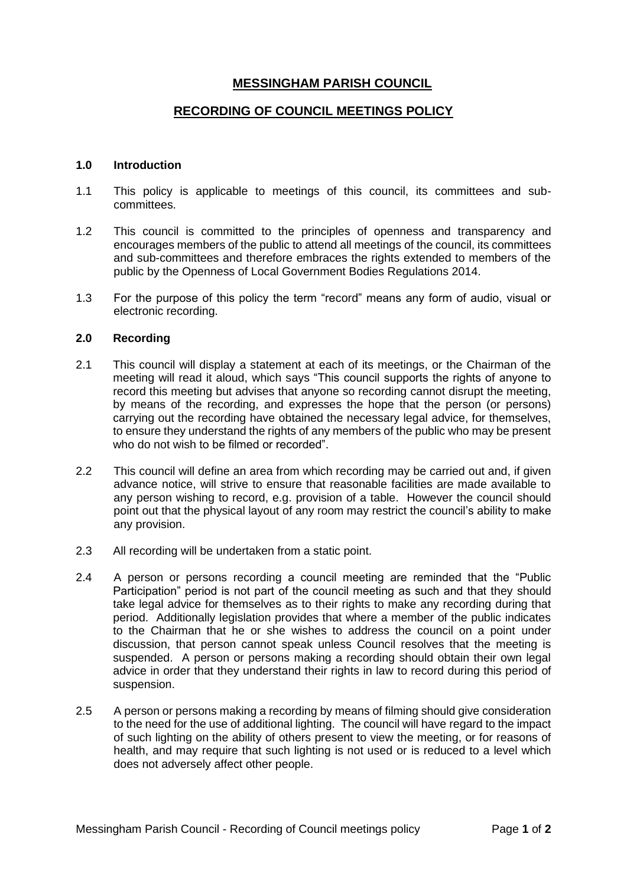## **MESSINGHAM PARISH COUNCIL**

## **RECORDING OF COUNCIL MEETINGS POLICY**

## **1.0 Introduction**

- 1.1 This policy is applicable to meetings of this council, its committees and subcommittees.
- 1.2 This council is committed to the principles of openness and transparency and encourages members of the public to attend all meetings of the council, its committees and sub-committees and therefore embraces the rights extended to members of the public by the Openness of Local Government Bodies Regulations 2014.
- 1.3 For the purpose of this policy the term "record" means any form of audio, visual or electronic recording.

## **2.0 Recording**

- 2.1 This council will display a statement at each of its meetings, or the Chairman of the meeting will read it aloud, which says "This council supports the rights of anyone to record this meeting but advises that anyone so recording cannot disrupt the meeting, by means of the recording, and expresses the hope that the person (or persons) carrying out the recording have obtained the necessary legal advice, for themselves, to ensure they understand the rights of any members of the public who may be present who do not wish to be filmed or recorded".
- 2.2 This council will define an area from which recording may be carried out and, if given advance notice, will strive to ensure that reasonable facilities are made available to any person wishing to record, e.g. provision of a table. However the council should point out that the physical layout of any room may restrict the council's ability to make any provision.
- 2.3 All recording will be undertaken from a static point.
- 2.4 A person or persons recording a council meeting are reminded that the "Public Participation" period is not part of the council meeting as such and that they should take legal advice for themselves as to their rights to make any recording during that period. Additionally legislation provides that where a member of the public indicates to the Chairman that he or she wishes to address the council on a point under discussion, that person cannot speak unless Council resolves that the meeting is suspended. A person or persons making a recording should obtain their own legal advice in order that they understand their rights in law to record during this period of suspension.
- 2.5 A person or persons making a recording by means of filming should give consideration to the need for the use of additional lighting. The council will have regard to the impact of such lighting on the ability of others present to view the meeting, or for reasons of health, and may require that such lighting is not used or is reduced to a level which does not adversely affect other people.